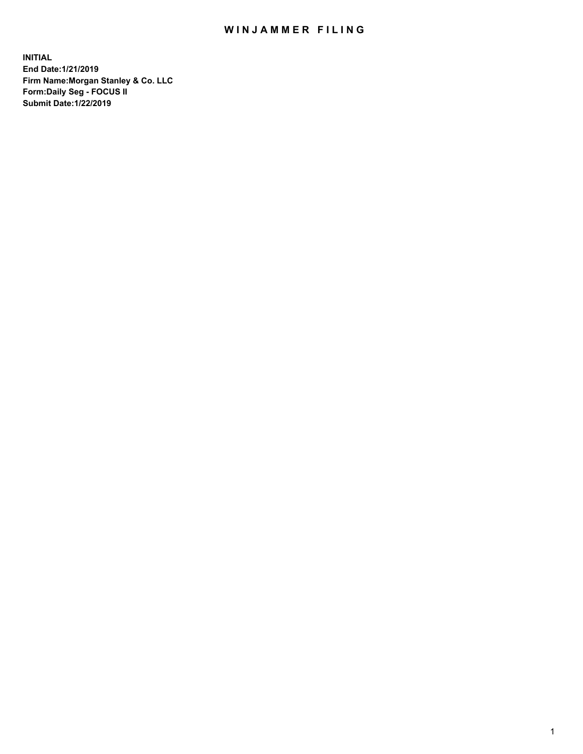## WIN JAMMER FILING

**INITIAL End Date:1/21/2019 Firm Name:Morgan Stanley & Co. LLC Form:Daily Seg - FOCUS II Submit Date:1/22/2019**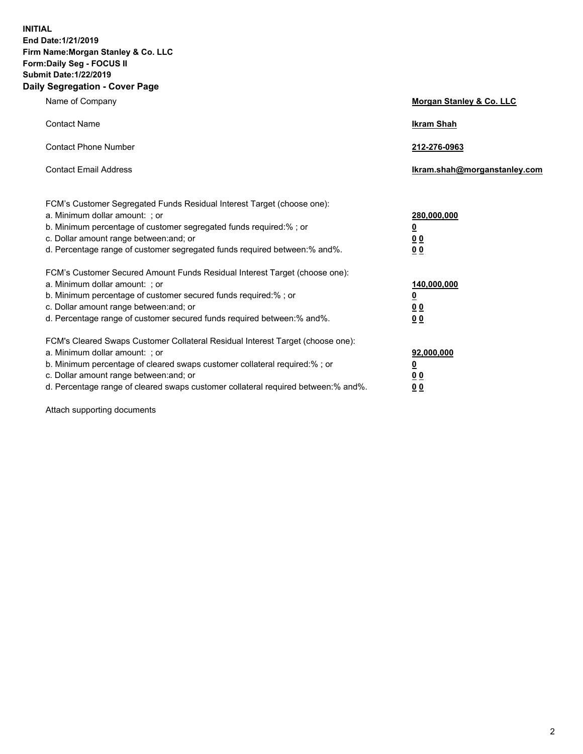**INITIAL End Date:1/21/2019 Firm Name:Morgan Stanley & Co. LLC Form:Daily Seg - FOCUS II Submit Date:1/22/2019 Daily Segregation - Cover Page**

| Name of Company                                                                                                                                                                                                                                                                                                                | Morgan Stanley & Co. LLC                               |
|--------------------------------------------------------------------------------------------------------------------------------------------------------------------------------------------------------------------------------------------------------------------------------------------------------------------------------|--------------------------------------------------------|
| <b>Contact Name</b>                                                                                                                                                                                                                                                                                                            | <b>Ikram Shah</b>                                      |
| <b>Contact Phone Number</b>                                                                                                                                                                                                                                                                                                    | 212-276-0963                                           |
| <b>Contact Email Address</b>                                                                                                                                                                                                                                                                                                   | Ikram.shah@morganstanley.com                           |
| FCM's Customer Segregated Funds Residual Interest Target (choose one):<br>a. Minimum dollar amount: ; or<br>b. Minimum percentage of customer segregated funds required:% ; or<br>c. Dollar amount range between: and; or<br>d. Percentage range of customer segregated funds required between:% and%.                         | 280,000,000<br><u>0</u><br><u>0 0</u><br>0 Q           |
| FCM's Customer Secured Amount Funds Residual Interest Target (choose one):<br>a. Minimum dollar amount: ; or<br>b. Minimum percentage of customer secured funds required:%; or<br>c. Dollar amount range between: and; or<br>d. Percentage range of customer secured funds required between:% and%.                            | 140,000,000<br><u>0</u><br><u>00</u><br>0 <sub>0</sub> |
| FCM's Cleared Swaps Customer Collateral Residual Interest Target (choose one):<br>a. Minimum dollar amount: ; or<br>b. Minimum percentage of cleared swaps customer collateral required:% ; or<br>c. Dollar amount range between: and; or<br>d. Percentage range of cleared swaps customer collateral required between:% and%. | 92,000,000<br><u>0</u><br><u>00</u><br>0 <sub>0</sub>  |

Attach supporting documents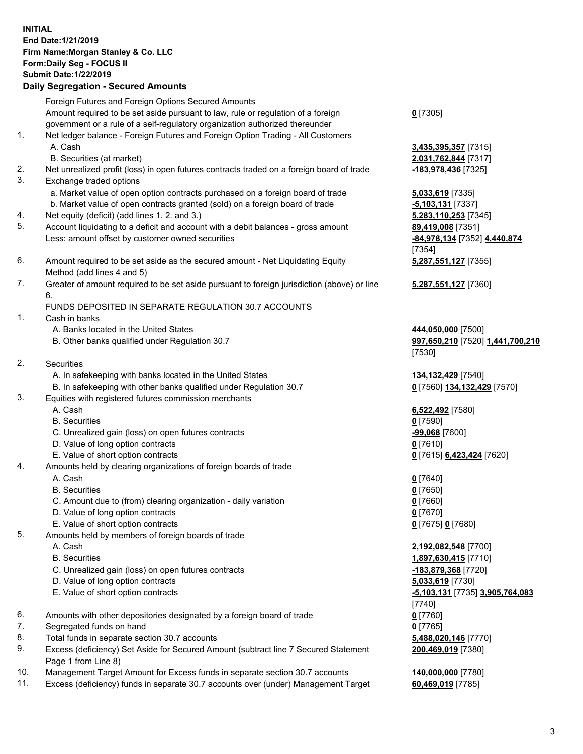## **INITIAL End Date:1/21/2019 Firm Name:Morgan Stanley & Co. LLC Form:Daily Seg - FOCUS II Submit Date:1/22/2019 Daily Segregation - Secured Amounts** Foreign Futures and Foreign Options Secured Amounts

Amount required to be set aside pursuant to law, rule or regulation of a foreign government or a rule of a self-regulatory organization authorized thereunder

- 1. Net ledger balance Foreign Futures and Foreign Option Trading All Customers A. Cash **3,435,395,357** [7315]
	- B. Securities (at market) **2,031,762,844** [7317]
- 2. Net unrealized profit (loss) in open futures contracts traded on a foreign board of trade **-183,978,436** [7325]
- 3. Exchange traded options
	- a. Market value of open option contracts purchased on a foreign board of trade **5,033,619** [7335]
	- b. Market value of open contracts granted (sold) on a foreign board of trade **-5,103,131** [7337]
- 4. Net equity (deficit) (add lines 1. 2. and 3.) **5,283,110,253** [7345]
- 5. Account liquidating to a deficit and account with a debit balances gross amount **89,419,008** [7351] Less: amount offset by customer owned securities **-84,978,134** [7352] **4,440,874**
- 6. Amount required to be set aside as the secured amount Net Liquidating Equity Method (add lines 4 and 5)
- 7. Greater of amount required to be set aside pursuant to foreign jurisdiction (above) or line 6.

## FUNDS DEPOSITED IN SEPARATE REGULATION 30.7 ACCOUNTS

- 1. Cash in banks
	- A. Banks located in the United States **444,050,000** [7500]
	- B. Other banks qualified under Regulation 30.7 **997,650,210** [7520] **1,441,700,210**
- 2. Securities
	- A. In safekeeping with banks located in the United States **134,132,429** [7540]
	- B. In safekeeping with other banks qualified under Regulation 30.7 **0** [7560] **134,132,429** [7570]
- 3. Equities with registered futures commission merchants
	-
	- B. Securities **0** [7590]
	- C. Unrealized gain (loss) on open futures contracts **-99,068** [7600]
	- D. Value of long option contracts **0** [7610]
- E. Value of short option contracts **0** [7615] **6,423,424** [7620]
- 4. Amounts held by clearing organizations of foreign boards of trade
	- A. Cash **0** [7640]
	- B. Securities **0** [7650]
	- C. Amount due to (from) clearing organization daily variation **0** [7660]
	- D. Value of long option contracts **0** [7670]
	- E. Value of short option contracts **0** [7675] **0** [7680]
- 5. Amounts held by members of foreign boards of trade
	-
	-
	- C. Unrealized gain (loss) on open futures contracts **-183,879,368** [7720]
	- D. Value of long option contracts **5,033,619** [7730]
	- E. Value of short option contracts **-5,103,131** [7735] **3,905,764,083**
- 6. Amounts with other depositories designated by a foreign board of trade **0** [7760]
- 7. Segregated funds on hand **0** [7765]
- 8. Total funds in separate section 30.7 accounts **5,488,020,146** [7770]
- 9. Excess (deficiency) Set Aside for Secured Amount (subtract line 7 Secured Statement Page 1 from Line 8)
- 10. Management Target Amount for Excess funds in separate section 30.7 accounts **140,000,000** [7780]
- 11. Excess (deficiency) funds in separate 30.7 accounts over (under) Management Target **60,469,019** [7785]

[7354] **5,287,551,127** [7355]

**5,287,551,127** [7360]

[7530]

A. Cash **6,522,492** [7580]

 A. Cash **2,192,082,548** [7700] B. Securities **1,897,630,415** [7710] [7740] **200,469,019** [7380]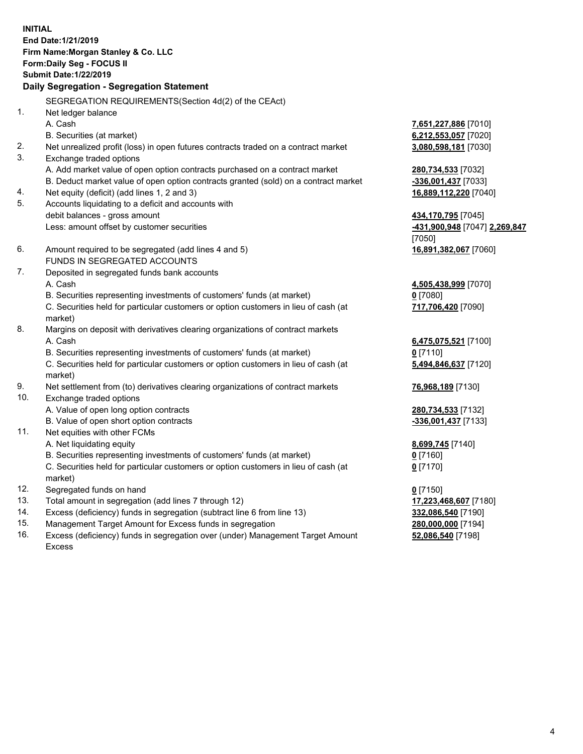**INITIAL End Date:1/21/2019 Firm Name:Morgan Stanley & Co. LLC Form:Daily Seg - FOCUS II Submit Date:1/22/2019 Daily Segregation - Segregation Statement** SEGREGATION REQUIREMENTS(Section 4d(2) of the CEAct) 1. Net ledger balance A. Cash **7,651,227,886** [7010] B. Securities (at market) **6,212,553,057** [7020] 2. Net unrealized profit (loss) in open futures contracts traded on a contract market **3,080,598,181** [7030] 3. Exchange traded options A. Add market value of open option contracts purchased on a contract market **280,734,533** [7032] B. Deduct market value of open option contracts granted (sold) on a contract market **-336,001,437** [7033] 4. Net equity (deficit) (add lines 1, 2 and 3) **16,889,112,220** [7040] 5. Accounts liquidating to a deficit and accounts with debit balances - gross amount **434,170,795** [7045] Less: amount offset by customer securities **-431,900,948** [7047] **2,269,847** [7050] 6. Amount required to be segregated (add lines 4 and 5) **16,891,382,067** [7060] FUNDS IN SEGREGATED ACCOUNTS 7. Deposited in segregated funds bank accounts A. Cash **4,505,438,999** [7070] B. Securities representing investments of customers' funds (at market) **0** [7080] C. Securities held for particular customers or option customers in lieu of cash (at market) **717,706,420** [7090] 8. Margins on deposit with derivatives clearing organizations of contract markets A. Cash **6,475,075,521** [7100] B. Securities representing investments of customers' funds (at market) **0** [7110] C. Securities held for particular customers or option customers in lieu of cash (at market) **5,494,846,637** [7120] 9. Net settlement from (to) derivatives clearing organizations of contract markets **76,968,189** [7130] 10. Exchange traded options A. Value of open long option contracts **280,734,533** [7132] B. Value of open short option contracts **and the set of our of the set of our of the set of our of the set of the set of the set of the set of the set of the set of the set of the set of the set of the set of the set of th** 11. Net equities with other FCMs A. Net liquidating equity **8,699,745** [7140] B. Securities representing investments of customers' funds (at market) **0** [7160] C. Securities held for particular customers or option customers in lieu of cash (at market) **0** [7170] 12. Segregated funds on hand **0** [7150] 13. Total amount in segregation (add lines 7 through 12) **17,223,468,607** [7180] 14. Excess (deficiency) funds in segregation (subtract line 6 from line 13) **332,086,540** [7190]

- 15. Management Target Amount for Excess funds in segregation **280,000,000** [7194]
- 16. Excess (deficiency) funds in segregation over (under) Management Target Amount Excess

**52,086,540** [7198]